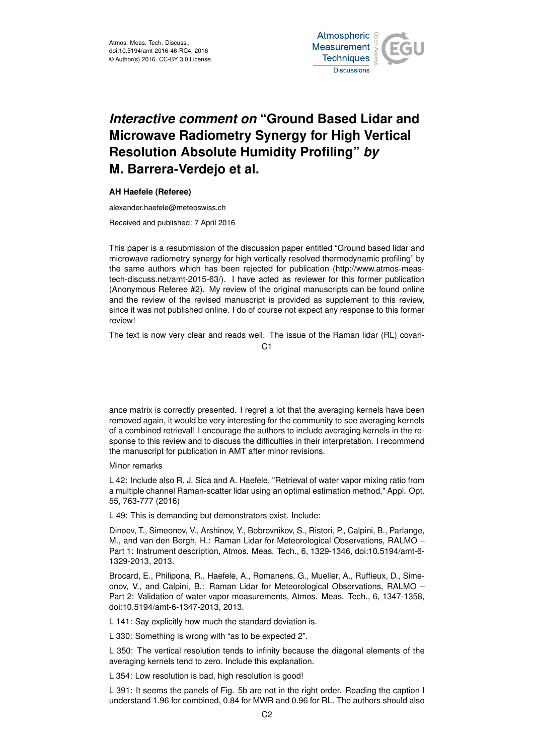

## *Interactive comment on* **"Ground Based Lidar and Microwave Radiometry Synergy for High Vertical Resolution Absolute Humidity Profiling"** *by* **M. Barrera-Verdejo et al.**

## **AH Haefele (Referee)**

alexander.haefele@meteoswiss.ch

Received and published: 7 April 2016

This paper is a resubmission of the discussion paper entitled "Ground based lidar and microwave radiometry synergy for high vertically resolved thermodynamic profiling" by the same authors which has been rejected for publication (http://www.atmos-meastech-discuss.net/amt-2015-63/). I have acted as reviewer for this former publication (Anonymous Referee #2). My review of the original manuscripts can be found online and the review of the revised manuscript is provided as supplement to this review, since it was not published online. I do of course not expect any response to this former review!

The text is now very clear and reads well. The issue of the Raman lidar (RL) covari-

C1

ance matrix is correctly presented. I regret a lot that the averaging kernels have been removed again, it would be very interesting for the community to see averaging kernels of a combined retrieval! I encourage the authors to include averaging kernels in the response to this review and to discuss the difficulties in their interpretation. I recommend the manuscript for publication in AMT after minor revisions.

## Minor remarks

L 42: Include also R. J. Sica and A. Haefele, "Retrieval of water vapor mixing ratio from a multiple channel Raman-scatter lidar using an optimal estimation method," Appl. Opt. 55, 763-777 (2016)

L 49: This is demanding but demonstrators exist. Include:

Dinoev, T., Simeonov, V., Arshinov, Y., Bobrovnikov, S., Ristori, P., Calpini, B., Parlange, M., and van den Bergh, H.: Raman Lidar for Meteorological Observations, RALMO – Part 1: Instrument description, Atmos. Meas. Tech., 6, 1329-1346, doi:10.5194/amt-6- 1329-2013, 2013.

Brocard, E., Philipona, R., Haefele, A., Romanens, G., Mueller, A., Ruffieux, D., Simeonov, V., and Calpini, B.: Raman Lidar for Meteorological Observations, RALMO – Part 2: Validation of water vapor measurements, Atmos. Meas. Tech., 6, 1347-1358, doi:10.5194/amt-6-1347-2013, 2013.

L 141: Say explicitly how much the standard deviation is.

L 330: Something is wrong with "as to be expected 2".

L 350: The vertical resolution tends to infinity because the diagonal elements of the averaging kernels tend to zero. Include this explanation.

L 354: Low resolution is bad, high resolution is good!

L 391: It seems the panels of Fig. 5b are not in the right order. Reading the caption I understand 1.96 for combined, 0.84 for MWR and 0.96 for RL. The authors should also